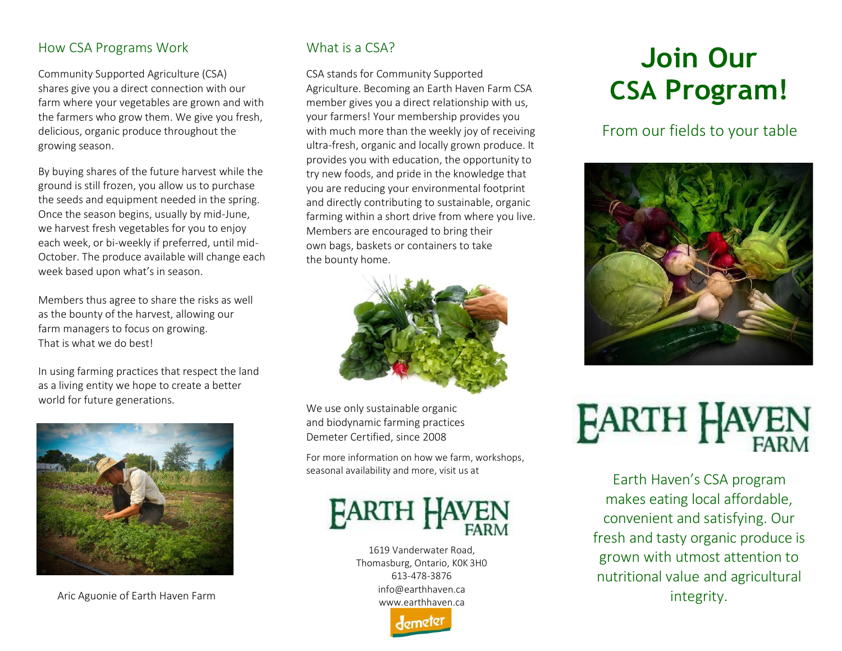# How CSA Programs Work

Community Supported Agriculture (CSA) shares give you a direct connection with our farm where your vegetables are grown and with the farmers who grow them. We give you fresh, delicious, organic produce throughout the growing season.

By buying shares of the future harvest while the ground is still frozen, you allow us to purchase the seeds and equipment needed in the spring. Once the season begins, usually by mid-June, we harvest fresh vegetables for you to enjoy each week, or bi-weekly if preferred, until mid-October. The produce available will change each week based upon what's in season.

Members thus agree to share the risks as well as the bounty of the harvest, allowing our farm managers to focus on growing. That is what we do best!

In using farming practices that respect the land as a living entity we hope to create a better world for future generations.



Aric Aguonie of Earth Haven Farm

# What is a CSA?

CSA stands for Community Supported Agriculture. Becoming an Earth Haven Farm CSA member gives you a direct relationship with us, your farmers! Your membership provides you with much more than the weekly joy of receiving ultra-fresh, organic and locally grown produce. It provides you with education, the opportunity to try new foods, and pride in the knowledge that you are reducing your environmental footprint and directly contributing to sustainable, organic farming within a short drive from where you live. Members are encouraged to bring their own bags, baskets or containers to take the bounty home.



We use only sustainable organic and biodynamic farming practices Demeter Certified, since 2008

For more information on how we farm, workshops, seasonal availability and more, visit us at

# **FARTH HAV**

1619 Vanderwater Road, Thomasburg, Ontario, K0K 3H0 613-478-3876 [info@earthhaven.ca](mailto:info@earthhaven.ca) [www.earthhaven.ca](http://www.earthhaven.ca/)



# **Join Our CSA Program!**

From our fields to your table





Earth Haven's CSA program makes eating local affordable, convenient and satisfying. Our fresh and tasty organic produce is grown with utmost attention to nutritional value and agricultural integrity.